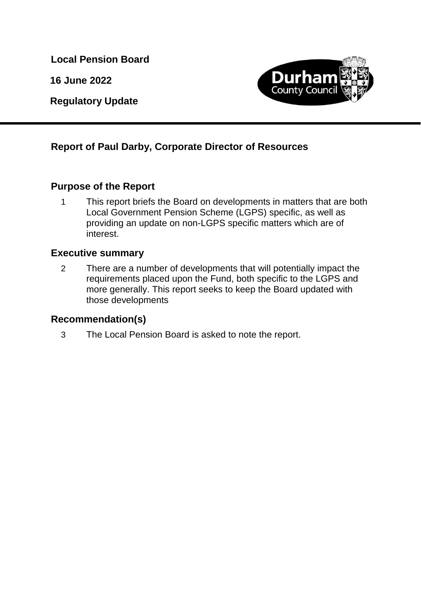**Local Pension Board**

**16 June 2022**

**Regulatory Update**



# **Report of Paul Darby, Corporate Director of Resources**

# **Purpose of the Report**

1 This report briefs the Board on developments in matters that are both Local Government Pension Scheme (LGPS) specific, as well as providing an update on non-LGPS specific matters which are of interest.

# **Executive summary**

2 There are a number of developments that will potentially impact the requirements placed upon the Fund, both specific to the LGPS and more generally. This report seeks to keep the Board updated with those developments

### **Recommendation(s)**

3 The Local Pension Board is asked to note the report.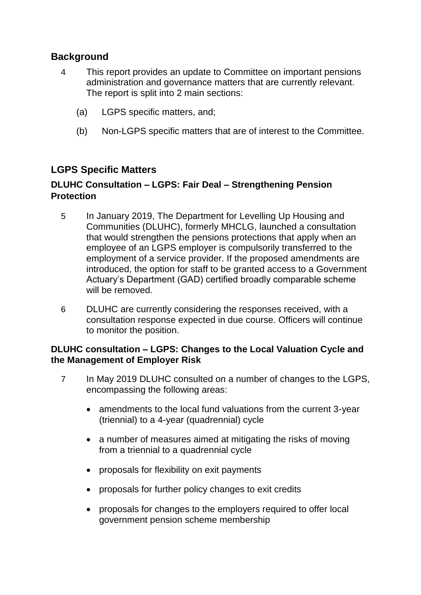# **Background**

- 4 This report provides an update to Committee on important pensions administration and governance matters that are currently relevant. The report is split into 2 main sections:
	- (a) LGPS specific matters, and;
	- (b) Non-LGPS specific matters that are of interest to the Committee.

# **LGPS Specific Matters**

## **DLUHC Consultation – LGPS: Fair Deal – Strengthening Pension Protection**

- 5 In January 2019, The Department for Levelling Up Housing and Communities (DLUHC), formerly MHCLG, launched a consultation that would strengthen the pensions protections that apply when an employee of an LGPS employer is compulsorily transferred to the employment of a service provider. If the proposed amendments are introduced, the option for staff to be granted access to a Government Actuary's Department (GAD) certified broadly comparable scheme will be removed.
- 6 DLUHC are currently considering the responses received, with a consultation response expected in due course. Officers will continue to monitor the position.

### **DLUHC consultation – LGPS: Changes to the Local Valuation Cycle and the Management of Employer Risk**

- 7 In May 2019 DLUHC consulted on a number of changes to the LGPS, encompassing the following areas:
	- amendments to the local fund valuations from the current 3-year (triennial) to a 4-year (quadrennial) cycle
	- a number of measures aimed at mitigating the risks of moving from a triennial to a quadrennial cycle
	- proposals for flexibility on exit payments
	- proposals for further policy changes to exit credits
	- proposals for changes to the employers required to offer local government pension scheme membership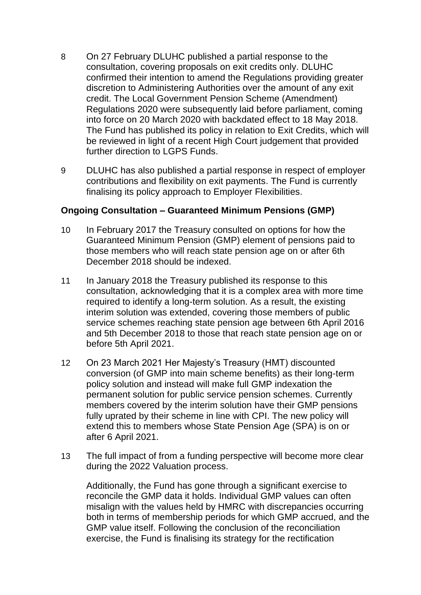- 8 On 27 February DLUHC published a partial response to the consultation, covering proposals on exit credits only. DLUHC confirmed their intention to amend the Regulations providing greater discretion to Administering Authorities over the amount of any exit credit. The Local Government Pension Scheme (Amendment) Regulations 2020 were subsequently laid before parliament, coming into force on 20 March 2020 with backdated effect to 18 May 2018. The Fund has published its policy in relation to Exit Credits, which will be reviewed in light of a recent High Court judgement that provided further direction to LGPS Funds.
- 9 DLUHC has also published a partial response in respect of employer contributions and flexibility on exit payments. The Fund is currently finalising its policy approach to Employer Flexibilities.

#### **Ongoing Consultation – Guaranteed Minimum Pensions (GMP)**

- 10 In February 2017 the Treasury consulted on options for how the Guaranteed Minimum Pension (GMP) element of pensions paid to those members who will reach state pension age on or after 6th December 2018 should be indexed.
- 11 In January 2018 the Treasury published its response to this consultation, acknowledging that it is a complex area with more time required to identify a long-term solution. As a result, the existing interim solution was extended, covering those members of public service schemes reaching state pension age between 6th April 2016 and 5th December 2018 to those that reach state pension age on or before 5th April 2021.
- 12 On 23 March 2021 Her Majesty's Treasury (HMT) discounted conversion (of GMP into main scheme benefits) as their long-term policy solution and instead will make full GMP indexation the permanent solution for public service pension schemes. Currently members covered by the interim solution have their GMP pensions fully uprated by their scheme in line with CPI. The new policy will extend this to members whose State Pension Age (SPA) is on or after 6 April 2021.
- 13 The full impact of from a funding perspective will become more clear during the 2022 Valuation process.

Additionally, the Fund has gone through a significant exercise to reconcile the GMP data it holds. Individual GMP values can often misalign with the values held by HMRC with discrepancies occurring both in terms of membership periods for which GMP accrued, and the GMP value itself. Following the conclusion of the reconciliation exercise, the Fund is finalising its strategy for the rectification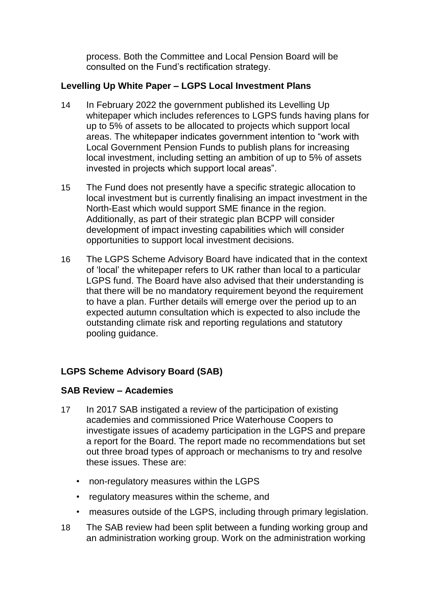process. Both the Committee and Local Pension Board will be consulted on the Fund's rectification strategy.

## **Levelling Up White Paper – LGPS Local Investment Plans**

- 14 In February 2022 the government published its Levelling Up whitepaper which includes references to LGPS funds having plans for up to 5% of assets to be allocated to projects which support local areas. The whitepaper indicates government intention to "work with Local Government Pension Funds to publish plans for increasing local investment, including setting an ambition of up to 5% of assets invested in projects which support local areas".
- 15 The Fund does not presently have a specific strategic allocation to local investment but is currently finalising an impact investment in the North-East which would support SME finance in the region. Additionally, as part of their strategic plan BCPP will consider development of impact investing capabilities which will consider opportunities to support local investment decisions.
- 16 The LGPS Scheme Advisory Board have indicated that in the context of 'local' the whitepaper refers to UK rather than local to a particular LGPS fund. The Board have also advised that their understanding is that there will be no mandatory requirement beyond the requirement to have a plan. Further details will emerge over the period up to an expected autumn consultation which is expected to also include the outstanding climate risk and reporting regulations and statutory pooling guidance.

# **LGPS Scheme Advisory Board (SAB)**

### **SAB Review – Academies**

- 17 In 2017 SAB instigated a review of the participation of existing academies and commissioned Price Waterhouse Coopers to investigate issues of academy participation in the LGPS and prepare a report for the Board. The report made no recommendations but set out three broad types of approach or mechanisms to try and resolve these issues. These are:
	- non-regulatory measures within the LGPS
	- regulatory measures within the scheme, and
	- measures outside of the LGPS, including through primary legislation.
- 18 The SAB review had been split between a funding working group and an administration working group. Work on the administration working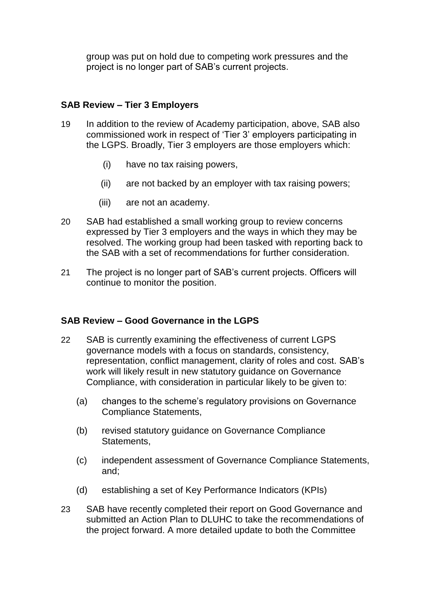group was put on hold due to competing work pressures and the project is no longer part of SAB's current projects.

#### **SAB Review – Tier 3 Employers**

- 19 In addition to the review of Academy participation, above, SAB also commissioned work in respect of 'Tier 3' employers participating in the LGPS. Broadly, Tier 3 employers are those employers which:
	- (i) have no tax raising powers,
	- (ii) are not backed by an employer with tax raising powers;
	- (iii) are not an academy.
- 20 SAB had established a small working group to review concerns expressed by Tier 3 employers and the ways in which they may be resolved. The working group had been tasked with reporting back to the SAB with a set of recommendations for further consideration.
- 21 The project is no longer part of SAB's current projects. Officers will continue to monitor the position.

### **SAB Review – Good Governance in the LGPS**

- 22 SAB is currently examining the effectiveness of current LGPS governance models with a focus on standards, consistency, representation, conflict management, clarity of roles and cost. SAB's work will likely result in new statutory guidance on Governance Compliance, with consideration in particular likely to be given to:
	- (a) changes to the scheme's regulatory provisions on Governance Compliance Statements,
	- (b) revised statutory guidance on Governance Compliance Statements,
	- (c) independent assessment of Governance Compliance Statements, and;
	- (d) establishing a set of Key Performance Indicators (KPIs)
- 23 SAB have recently completed their report on Good Governance and submitted an Action Plan to DLUHC to take the recommendations of the project forward. A more detailed update to both the Committee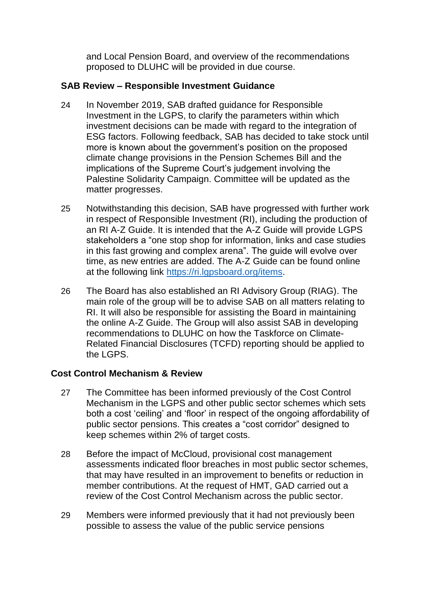and Local Pension Board, and overview of the recommendations proposed to DLUHC will be provided in due course.

### **SAB Review – Responsible Investment Guidance**

- 24 In November 2019, SAB drafted guidance for Responsible Investment in the LGPS, to clarify the parameters within which investment decisions can be made with regard to the integration of ESG factors. Following feedback, SAB has decided to take stock until more is known about the government's position on the proposed climate change provisions in the Pension Schemes Bill and the implications of the Supreme Court's judgement involving the Palestine Solidarity Campaign. Committee will be updated as the matter progresses.
- 25 Notwithstanding this decision, SAB have progressed with further work in respect of Responsible Investment (RI), including the production of an RI A-Z Guide. It is intended that the A-Z Guide will provide LGPS stakeholders a "one stop shop for information, links and case studies in this fast growing and complex arena". The guide will evolve over time, as new entries are added. The A-Z Guide can be found online at the following link [https://ri.lgpsboard.org/items.](https://ri.lgpsboard.org/items)
- 26 The Board has also established an RI Advisory Group (RIAG). The main role of the group will be to advise SAB on all matters relating to RI. It will also be responsible for assisting the Board in maintaining the online A-Z Guide. The Group will also assist SAB in developing recommendations to DLUHC on how the Taskforce on Climate-Related Financial Disclosures (TCFD) reporting should be applied to the LGPS.

### **Cost Control Mechanism & Review**

- 27 The Committee has been informed previously of the Cost Control Mechanism in the LGPS and other public sector schemes which sets both a cost 'ceiling' and 'floor' in respect of the ongoing affordability of public sector pensions. This creates a "cost corridor" designed to keep schemes within 2% of target costs.
- 28 Before the impact of McCloud, provisional cost management assessments indicated floor breaches in most public sector schemes, that may have resulted in an improvement to benefits or reduction in member contributions. At the request of HMT, GAD carried out a review of the Cost Control Mechanism across the public sector.
- 29 Members were informed previously that it had not previously been possible to assess the value of the public service pensions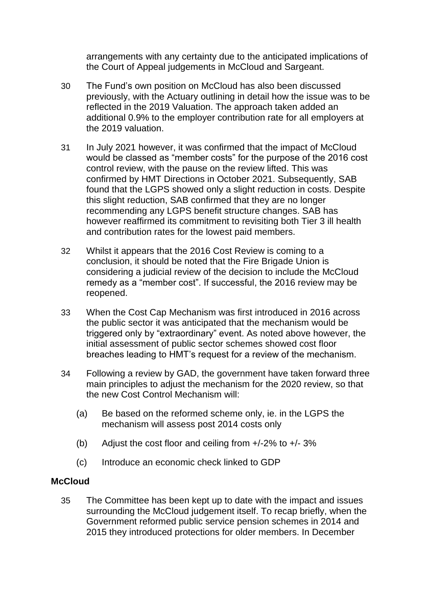arrangements with any certainty due to the anticipated implications of the Court of Appeal judgements in McCloud and Sargeant.

- 30 The Fund's own position on McCloud has also been discussed previously, with the Actuary outlining in detail how the issue was to be reflected in the 2019 Valuation. The approach taken added an additional 0.9% to the employer contribution rate for all employers at the 2019 valuation.
- 31 In July 2021 however, it was confirmed that the impact of McCloud would be classed as "member costs" for the purpose of the 2016 cost control review, with the pause on the review lifted. This was confirmed by HMT Directions in October 2021. Subsequently, SAB found that the LGPS showed only a slight reduction in costs. Despite this slight reduction, SAB confirmed that they are no longer recommending any LGPS benefit structure changes. SAB has however reaffirmed its commitment to revisiting both Tier 3 ill health and contribution rates for the lowest paid members.
- 32 Whilst it appears that the 2016 Cost Review is coming to a conclusion, it should be noted that the Fire Brigade Union is considering a judicial review of the decision to include the McCloud remedy as a "member cost". If successful, the 2016 review may be reopened.
- 33 When the Cost Cap Mechanism was first introduced in 2016 across the public sector it was anticipated that the mechanism would be triggered only by "extraordinary" event. As noted above however, the initial assessment of public sector schemes showed cost floor breaches leading to HMT's request for a review of the mechanism.
- 34 Following a review by GAD, the government have taken forward three main principles to adjust the mechanism for the 2020 review, so that the new Cost Control Mechanism will:
	- (a) Be based on the reformed scheme only, ie. in the LGPS the mechanism will assess post 2014 costs only
	- (b) Adjust the cost floor and ceiling from  $+/-2\%$  to  $+/-3\%$
	- (c) Introduce an economic check linked to GDP

#### **McCloud**

35 The Committee has been kept up to date with the impact and issues surrounding the McCloud judgement itself. To recap briefly, when the Government reformed public service pension schemes in 2014 and 2015 they introduced protections for older members. In December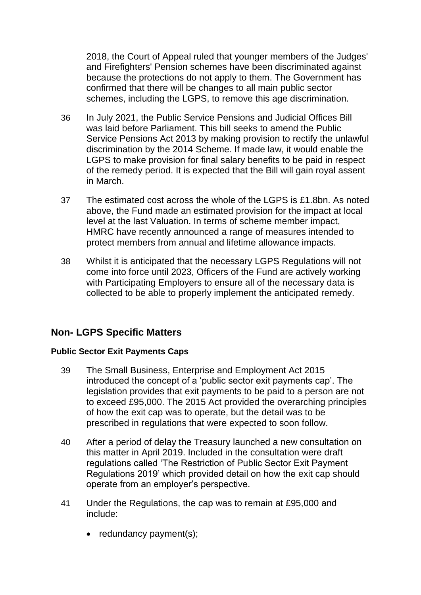2018, the Court of Appeal ruled that younger members of the Judges' and Firefighters' Pension schemes have been discriminated against because the protections do not apply to them. The Government has confirmed that there will be changes to all main public sector schemes, including the LGPS, to remove this age discrimination.

- 36 In July 2021, the Public Service Pensions and Judicial Offices Bill was laid before Parliament. This bill seeks to amend the Public Service Pensions Act 2013 by making provision to rectify the unlawful discrimination by the 2014 Scheme. If made law, it would enable the LGPS to make provision for final salary benefits to be paid in respect of the remedy period. It is expected that the Bill will gain royal assent in March.
- 37 The estimated cost across the whole of the LGPS is £1.8bn. As noted above, the Fund made an estimated provision for the impact at local level at the last Valuation. In terms of scheme member impact, HMRC have recently announced a range of measures intended to protect members from annual and lifetime allowance impacts.
- 38 Whilst it is anticipated that the necessary LGPS Regulations will not come into force until 2023, Officers of the Fund are actively working with Participating Employers to ensure all of the necessary data is collected to be able to properly implement the anticipated remedy.

# **Non- LGPS Specific Matters**

### **Public Sector Exit Payments Caps**

- 39 The Small Business, Enterprise and Employment Act 2015 introduced the concept of a 'public sector exit payments cap'. The legislation provides that exit payments to be paid to a person are not to exceed £95,000. The 2015 Act provided the overarching principles of how the exit cap was to operate, but the detail was to be prescribed in regulations that were expected to soon follow.
- 40 After a period of delay the Treasury launched a new consultation on this matter in April 2019. Included in the consultation were draft regulations called 'The Restriction of Public Sector Exit Payment Regulations 2019' which provided detail on how the exit cap should operate from an employer's perspective.
- 41 Under the Regulations, the cap was to remain at £95,000 and include:
	- $\bullet$  redundancy payment(s);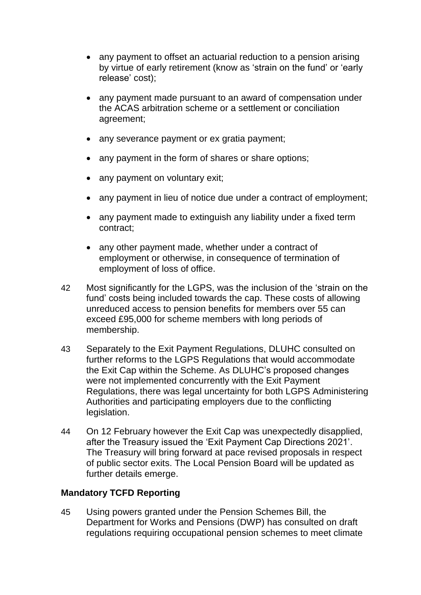- any payment to offset an actuarial reduction to a pension arising by virtue of early retirement (know as 'strain on the fund' or 'early release' cost);
- any payment made pursuant to an award of compensation under the ACAS arbitration scheme or a settlement or conciliation agreement;
- any severance payment or ex gratia payment;
- any payment in the form of shares or share options;
- any payment on voluntary exit;
- any payment in lieu of notice due under a contract of employment;
- any payment made to extinguish any liability under a fixed term contract;
- any other payment made, whether under a contract of employment or otherwise, in consequence of termination of employment of loss of office.
- 42 Most significantly for the LGPS, was the inclusion of the 'strain on the fund' costs being included towards the cap. These costs of allowing unreduced access to pension benefits for members over 55 can exceed £95,000 for scheme members with long periods of membership.
- 43 Separately to the Exit Payment Regulations, DLUHC consulted on further reforms to the LGPS Regulations that would accommodate the Exit Cap within the Scheme. As DLUHC's proposed changes were not implemented concurrently with the Exit Payment Regulations, there was legal uncertainty for both LGPS Administering Authorities and participating employers due to the conflicting legislation.
- 44 On 12 February however the Exit Cap was unexpectedly disapplied, after the Treasury issued the 'Exit Payment Cap Directions 2021'. The Treasury will bring forward at pace revised proposals in respect of public sector exits. The Local Pension Board will be updated as further details emerge.

### **Mandatory TCFD Reporting**

45 Using powers granted under the Pension Schemes Bill, the Department for Works and Pensions (DWP) has consulted on draft regulations requiring occupational pension schemes to meet climate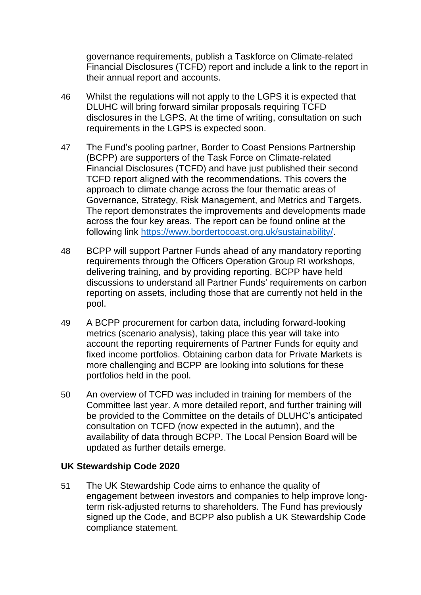governance requirements, publish a Taskforce on Climate-related Financial Disclosures (TCFD) report and include a link to the report in their annual report and accounts.

- 46 Whilst the regulations will not apply to the LGPS it is expected that DLUHC will bring forward similar proposals requiring TCFD disclosures in the LGPS. At the time of writing, consultation on such requirements in the LGPS is expected soon.
- 47 The Fund's pooling partner, Border to Coast Pensions Partnership (BCPP) are supporters of the Task Force on Climate-related Financial Disclosures (TCFD) and have just published their second TCFD report aligned with the recommendations. This covers the approach to climate change across the four thematic areas of Governance, Strategy, Risk Management, and Metrics and Targets. The report demonstrates the improvements and developments made across the four key areas. The report can be found online at the following link [https://www.bordertocoast.org.uk/sustainability/.](https://www.bordertocoast.org.uk/sustainability/)
- 48 BCPP will support Partner Funds ahead of any mandatory reporting requirements through the Officers Operation Group RI workshops, delivering training, and by providing reporting. BCPP have held discussions to understand all Partner Funds' requirements on carbon reporting on assets, including those that are currently not held in the pool.
- 49 A BCPP procurement for carbon data, including forward-looking metrics (scenario analysis), taking place this year will take into account the reporting requirements of Partner Funds for equity and fixed income portfolios. Obtaining carbon data for Private Markets is more challenging and BCPP are looking into solutions for these portfolios held in the pool.
- 50 An overview of TCFD was included in training for members of the Committee last year. A more detailed report, and further training will be provided to the Committee on the details of DLUHC's anticipated consultation on TCFD (now expected in the autumn), and the availability of data through BCPP. The Local Pension Board will be updated as further details emerge.

### **UK Stewardship Code 2020**

51 The UK Stewardship Code aims to enhance the quality of engagement between investors and companies to help improve longterm risk-adjusted returns to shareholders. The Fund has previously signed up the Code, and BCPP also publish a UK Stewardship Code compliance statement.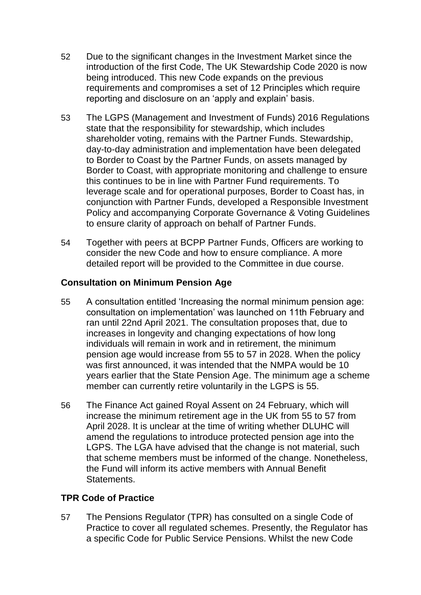- 52 Due to the significant changes in the Investment Market since the introduction of the first Code, The UK Stewardship Code 2020 is now being introduced. This new Code expands on the previous requirements and compromises a set of 12 Principles which require reporting and disclosure on an 'apply and explain' basis.
- 53 The LGPS (Management and Investment of Funds) 2016 Regulations state that the responsibility for stewardship, which includes shareholder voting, remains with the Partner Funds. Stewardship, day-to-day administration and implementation have been delegated to Border to Coast by the Partner Funds, on assets managed by Border to Coast, with appropriate monitoring and challenge to ensure this continues to be in line with Partner Fund requirements. To leverage scale and for operational purposes, Border to Coast has, in conjunction with Partner Funds, developed a Responsible Investment Policy and accompanying Corporate Governance & Voting Guidelines to ensure clarity of approach on behalf of Partner Funds.
- 54 Together with peers at BCPP Partner Funds, Officers are working to consider the new Code and how to ensure compliance. A more detailed report will be provided to the Committee in due course.

## **Consultation on Minimum Pension Age**

- 55 A consultation entitled 'Increasing the normal minimum pension age: consultation on implementation' was launched on 11th February and ran until 22nd April 2021. The consultation proposes that, due to increases in longevity and changing expectations of how long individuals will remain in work and in retirement, the minimum pension age would increase from 55 to 57 in 2028. When the policy was first announced, it was intended that the NMPA would be 10 years earlier that the State Pension Age. The minimum age a scheme member can currently retire voluntarily in the LGPS is 55.
- 56 The Finance Act gained Royal Assent on 24 February, which will increase the minimum retirement age in the UK from 55 to 57 from April 2028. It is unclear at the time of writing whether DLUHC will amend the regulations to introduce protected pension age into the LGPS. The LGA have advised that the change is not material, such that scheme members must be informed of the change. Nonetheless, the Fund will inform its active members with Annual Benefit **Statements**

### **TPR Code of Practice**

57 The Pensions Regulator (TPR) has consulted on a single Code of Practice to cover all regulated schemes. Presently, the Regulator has a specific Code for Public Service Pensions. Whilst the new Code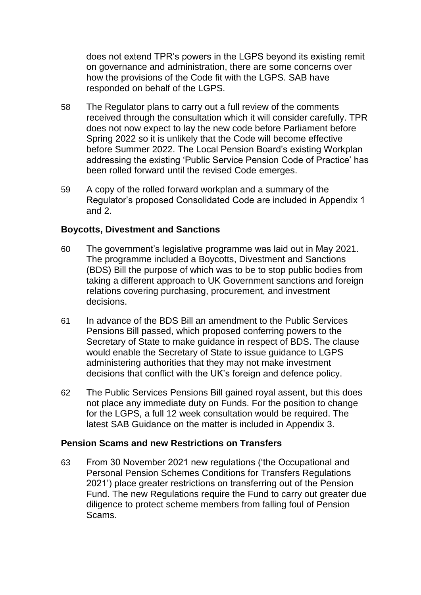does not extend TPR's powers in the LGPS beyond its existing remit on governance and administration, there are some concerns over how the provisions of the Code fit with the LGPS. SAB have responded on behalf of the LGPS.

- 58 The Regulator plans to carry out a full review of the comments received through the consultation which it will consider carefully. TPR does not now expect to lay the new code before Parliament before Spring 2022 so it is unlikely that the Code will become effective before Summer 2022. The Local Pension Board's existing Workplan addressing the existing 'Public Service Pension Code of Practice' has been rolled forward until the revised Code emerges.
- 59 A copy of the rolled forward workplan and a summary of the Regulator's proposed Consolidated Code are included in Appendix 1 and 2.

### **Boycotts, Divestment and Sanctions**

- 60 The government's legislative programme was laid out in May 2021. The programme included a Boycotts, Divestment and Sanctions (BDS) Bill the purpose of which was to be to stop public bodies from taking a different approach to UK Government sanctions and foreign relations covering purchasing, procurement, and investment decisions.
- 61 In advance of the BDS Bill an amendment to the Public Services Pensions Bill passed, which proposed conferring powers to the Secretary of State to make guidance in respect of BDS. The clause would enable the Secretary of State to issue guidance to LGPS administering authorities that they may not make investment decisions that conflict with the UK's foreign and defence policy.
- 62 The Public Services Pensions Bill gained royal assent, but this does not place any immediate duty on Funds. For the position to change for the LGPS, a full 12 week consultation would be required. The latest SAB Guidance on the matter is included in Appendix 3.

#### **Pension Scams and new Restrictions on Transfers**

63 From 30 November 2021 new regulations ('the Occupational and Personal Pension Schemes Conditions for Transfers Regulations 2021') place greater restrictions on transferring out of the Pension Fund. The new Regulations require the Fund to carry out greater due diligence to protect scheme members from falling foul of Pension Scams.